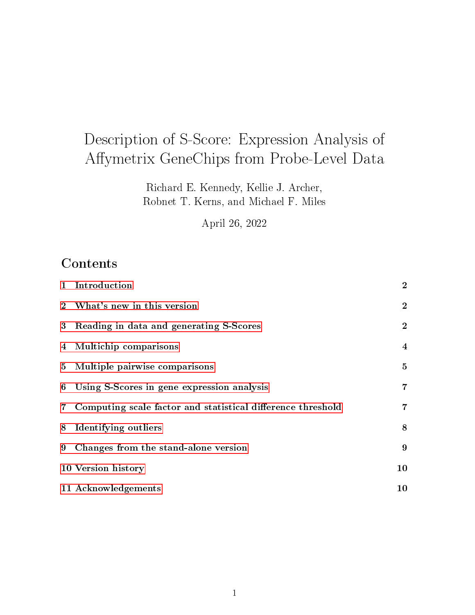# Description of S-Score: Expression Analysis of Affymetrix GeneChips from Probe-Level Data

Richard E. Kennedy, Kellie J. Archer, Robnet T. Kerns, and Michael F. Miles

April 26, 2022

## **Contents**

| $\mathbf{1}$ | Introduction                                                  | $\overline{2}$ |
|--------------|---------------------------------------------------------------|----------------|
|              | 2 What's new in this version                                  | $\mathbf{2}$   |
|              | 3 Reading in data and generating S-Scores                     | $\mathbf{2}$   |
|              | 4 Multichip comparisons                                       | $\overline{4}$ |
|              | 5 Multiple pairwise comparisons                               | 5              |
|              | 6 Using S-Scores in gene expression analysis                  | $\overline{7}$ |
|              | 7 Computing scale factor and statistical difference threshold | 7              |
|              | 8 Identifying outliers                                        | 8              |
| 9            | Changes from the stand-alone version                          | 9              |
|              | 10 Version history                                            | 10             |
|              | 11 Acknowledgements                                           | 10             |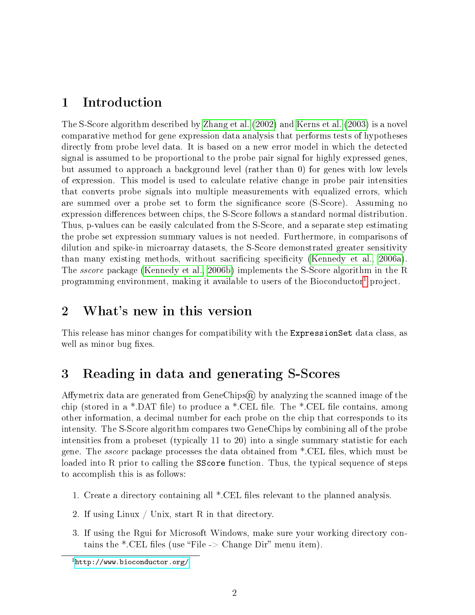#### <span id="page-1-0"></span>1 Introduction

The S-Score algorithm described by [Zhang et al.](#page-10-0) [\(2002\)](#page-10-0) and [Kerns et al.](#page-9-2) [\(2003\)](#page-9-2) is a novel comparative method for gene expression data analysis that performs tests of hypotheses directly from probe level data. It is based on a new error model in which the detected signal is assumed to be proportional to the probe pair signal for highly expressed genes, but assumed to approach a background level (rather than 0) for genes with low levels of expression. This model is used to calculate relative change in probe pair intensities that converts probe signals into multiple measurements with equalized errors, which are summed over a probe set to form the significance score (S-Score). Assuming no expression differences between chips, the S-Score follows a standard normal distribution. Thus, p-values can be easily calculated from the S-Score, and a separate step estimating the probe set expression summary values is not needed. Furthermore, in comparisons of dilution and spike-in microarray datasets, the S-Score demonstrated greater sensitivity than many existing methods, without sacrificing specificity [\(Kennedy et al., 2006a\)](#page-9-3). The *sscore* package [\(Kennedy et al., 2006b\)](#page-9-4) implements the S-Score algorithm in the R programming environment, making it available to users of the Bioconductor<sup>[1](#page-1-3)</sup> project.

#### <span id="page-1-1"></span>2 What's new in this version

This release has minor changes for compatibility with the ExpressionSet data class, as well as minor bug fixes.

### <span id="page-1-2"></span>3 Reading in data and generating S-Scores

Affymetrix data are generated from GeneChips® by analyzing the scanned image of the chip (stored in a \*.DAT file) to produce a \*.CEL file. The \*.CEL file contains, among other information, a decimal number for each probe on the chip that corresponds to its intensity. The S-Score algorithm compares two GeneChips by combining all of the probe intensities from a probeset (typically 11 to 20) into a single summary statistic for each gene. The *sscore* package processes the data obtained from \*.CEL files, which must be loaded into R prior to calling the SScore function. Thus, the typical sequence of steps to accomplish this is as follows:

- 1. Create a directory containing all \*.CEL files relevant to the planned analysis.
- 2. If using Linux / Unix, start R in that directory.
- 3. If using the Rgui for Microsoft Windows, make sure your working directory contains the \*.CEL files (use "File  $\geq$  Change Dir" menu item).

<span id="page-1-3"></span> $^1$ <http://www.bioconductor.org/>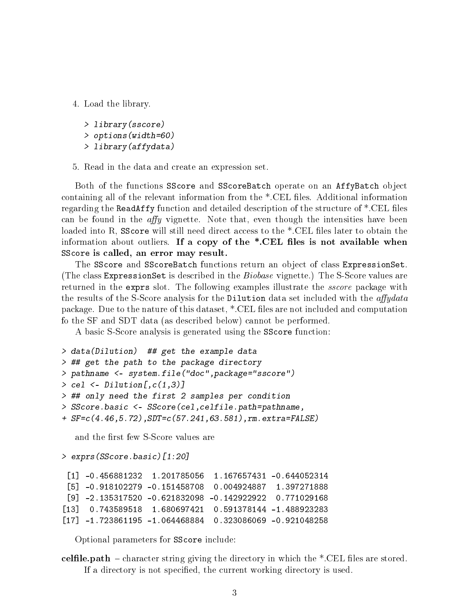4. Load the library.

```
> library(sscore)
> options(width=60)
> library(affydata)
```
5. Read in the data and create an expression set.

Both of the functions SScore and SScoreBatch operate on an AffyBatch object containing all of the relevant information from the \*.CEL files. Additional information regarding the ReadAffy function and detailed description of the structure of  $^*$ .CEL files can be found in the *affy* vignette. Note that, even though the intensities have been loaded into R, SScore will still need direct access to the  $*$ .CEL files later to obtain the information about outliers. If a copy of the  $\ast$ . CEL files is not available when SScore is called, an error may result.

The SScore and SScoreBatch functions return an object of class ExpressionSet. (The class ExpressionSet is described in the Biobase vignette.) The S-Score values are returned in the exprs slot. The following examples illustrate the *sscore* package with the results of the S-Score analysis for the Dilution data set included with the  $affy data$ package. Due to the nature of this dataset, \*.CEL files are not included and computation fo the SF and SDT data (as described below) cannot be performed.

A basic S-Score analysis is generated using the SScore function:

```
> data(Dilution) ## get the example data
> ## get the path to the package directory
> pathname <- system.file("doc",package="sscore")
> cel \leq Dilution[, c(1,3)]
> ## only need the first 2 samples per condition
> SScore.basic <- SScore(cel,celfile.path=pathname,
+ SF=c(4.46,5.72),SDT=c(57.241,63.581),rm.extra=FALSE)
```
and the first few S-Score values are

> exprs(SScore.basic)[1:20]

[1] -0.456881232 1.201785056 1.167657431 -0.644052314 [5] -0.918102279 -0.151458708 0.004924887 1.397271888 [9] -2.135317520 -0.621832098 -0.142922922 0.771029168 [13] 0.743589518 1.680697421 0.591378144 -1.488923283 [17] -1.723861195 -1.064468884 0.323086069 -0.921048258

Optional parameters for SScore include:

celfile.path  $\sim$  character string giving the directory in which the \*.CEL files are stored. If a directory is not specified, the current working directory is used.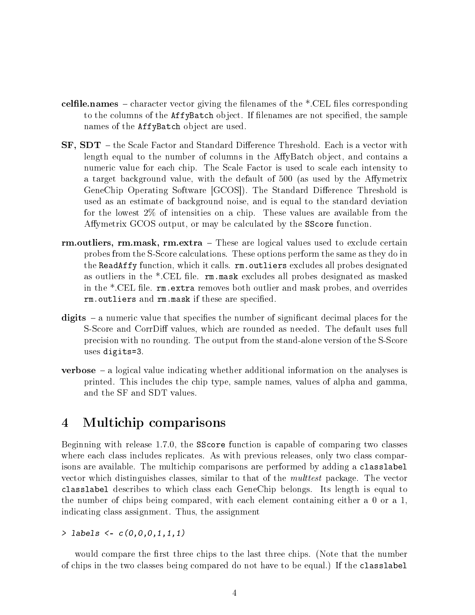- celfile.names character vector giving the filenames of the \*.CEL files corresponding to the columns of the AffyBatch object. If filenames are not specified, the sample names of the AffyBatch object are used.
- ${\bf S}{\bf F},\,{\bf SDT}\,$  the Scale Factor and Standard Difference Threshold. Each is a vector with length equal to the number of columns in the AffyBatch object, and contains a numeric value for each chip. The Scale Factor is used to scale each intensity to a target background value, with the default of 500 (as used by the Affymetrix GeneChip Operating Software [GCOS]). The Standard Difference Threshold is used as an estimate of background noise, and is equal to the standard deviation for the lowest 2% of intensities on a chip. These values are available from the Affymetrix GCOS output, or may be calculated by the SScore function.
- rm.outliers, rm.mask, rm.extra These are logical values used to exclude certain probes from the S-Score calculations. These options perform the same as they do in the ReadAffy function, which it calls. rm. outliers excludes all probes designated as outliers in the  $*.$ CEL file.  $rm.m.$ mask excludes all probes designated as masked in the \*.CEL file. rm. extra removes both outlier and mask probes, and overrides rm. outliers and rm. mask if these are specified.
- digits  $-$  a numeric value that specifies the number of significant decimal places for the S-Score and CorrDiff values, which are rounded as needed. The default uses full precision with no rounding. The output from the stand-alone version of the S-Score uses digits=3.
- **verbose**  $-$  a logical value indicating whether additional information on the analyses is printed. This includes the chip type, sample names, values of alpha and gamma, and the SF and SDT values.

#### <span id="page-3-0"></span>4 Multichip comparisons

Beginning with release 1.7.0, the SScore function is capable of comparing two classes where each class includes replicates. As with previous releases, only two class comparisons are available. The multichip comparisons are performed by adding a classlabel vector which distinguishes classes, similar to that of the *multtest* package. The vector classlabel describes to which class each GeneChip belongs. Its length is equal to the number of chips being compared, with each element containing either a 0 or a 1, indicating class assignment. Thus, the assignment

> labels <- c(0,0,0,1,1,1)

would compare the first three chips to the last three chips. (Note that the number of chips in the two classes being compared do not have to be equal.) If the classlabel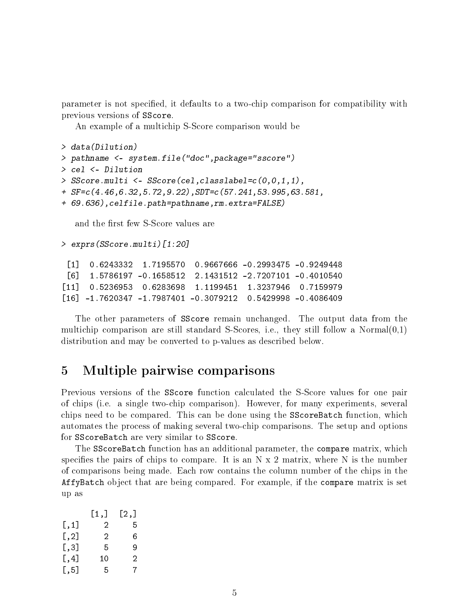parameter is not specified, it defaults to a two-chip comparison for compatibility with previous versions of SScore.

An example of a multichip S-Score comparison would be

```
> data(Dilution)
> pathname <- system.file("doc",package="sscore")
> cel <- Dilution
> SScore.multi <- SScore(cel,classlabel=c(0,0,1,1),
+ SF=c(4.46,6.32,5.72,9.22),SDT=c(57.241,53.995,63.581,
+ 69.636),celfile.path=pathname,rm.extra=FALSE)
```
and the first few S-Score values are

> exprs(SScore.multi)[1:20]

```
[1] 0.6243332 1.7195570 0.9667666 -0.2993475 -0.9249448
[6] 1.5786197 -0.1658512 2.1431512 -2.7207101 -0.4010540
[11] 0.5236953 0.6283698 1.1199451 1.3237946 0.7159979
[16] -1.7620347 -1.7987401 -0.3079212 0.5429998 -0.4086409
```
The other parameters of SScore remain unchanged. The output data from the multichip comparison are still standard S-Scores, i.e., they still follow a Normal $(0,1)$ distribution and may be converted to p-values as described below.

#### <span id="page-4-0"></span>5 Multiple pairwise comparisons

Previous versions of the SScore function calculated the S-Score values for one pair of chips (i.e. a single two-chip comparison). However, for many experiments, several chips need to be compared. This can be done using the SScoreBatch function, which automates the process of making several two-chip comparisons. The setup and options for SScoreBatch are very similar to SScore.

The SScoreBatch function has an additional parameter, the compare matrix, which specifies the pairs of chips to compare. It is an  $N \times 2$  matrix, where N is the number of comparisons being made. Each row contains the column number of the chips in the AffyBatch object that are being compared. For example, if the compare matrix is set up as

|                    | [1,] | [2,] |
|--------------------|------|------|
| $[\,,1]$           | 2    | 5    |
| $[ \, , 2]$        | 2    | 6    |
| [,3]               | 5    | 9    |
| $[\, ,4]$          | 10   | 2    |
| $\lceil .5 \rceil$ | 5    | 7    |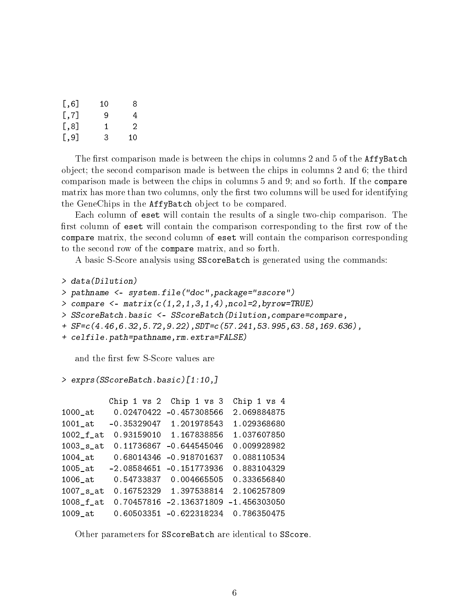| $[$ ,6]               | 10 | 8  |
|-----------------------|----|----|
| $\left[ 7, 7 \right]$ | 9  | 4  |
| [,8]                  | 1  | 2  |
| $[$ , 9]              | 3  | 10 |

The first comparison made is between the chips in columns 2 and 5 of the  $AffyBatch$ object; the second comparison made is between the chips in columns 2 and 6; the third comparison made is between the chips in columns 5 and 9; and so forth. If the compare matrix has more than two columns, only the first two columns will be used for identifying the GeneChips in the AffyBatch object to be compared.

Each column of eset will contain the results of a single two-chip comparison. The first column of eset will contain the comparison corresponding to the first row of the compare matrix, the second column of eset will contain the comparison corresponding to the second row of the compare matrix, and so forth.

A basic S-Score analysis using SScoreBatch is generated using the commands:

```
> data(Dilution)
```

```
> pathname <- system.file("doc",package="sscore")
```

```
> compare \leq matrix(c(1,2,1,3,1,4), ncol=2, byrow=TRUE)
```
- > SScoreBatch.basic <- SScoreBatch(Dilution,compare=compare,
- + SF=c(4.46,6.32,5.72,9.22),SDT=c(57.241,53.995,63.58,169.636),
- + celfile.path=pathname,rm.extra=FALSE)

and the first few S-Score values are

#### > exprs(SScoreBatch.basic)[1:10,]

|              | Chip 1 vs 2   | Chip 1 vs 3    | Chip 1 vs 4    |
|--------------|---------------|----------------|----------------|
| $1000$ _at   | 0.02470422    | $-0.457308566$ | 2.069884875    |
| $1001$ _at   | $-0.35329047$ | 1.201978543    | 1.029368680    |
| $1002_f$ _at | 0.93159010    | 1.167838856    | 1.037607850    |
| $1003$ _s_at | 0.11736867    | $-0.644545046$ | 0.009928982    |
| $1004$ _at   | 0.68014346    | $-0.918701637$ | 0.088110534    |
| $1005$ _at   | $-2.08584651$ | $-0.151773936$ | 0.883104329    |
| $1006$ _at   | 0.54733837    | 0.004665505    | 0.333656840    |
| $1007$ _s_at | 0.16752329    | 1.397538814    | 2.106257809    |
| $1008$ _f_at | 0.70457816    | $-2.136371809$ | $-1.456303050$ |
| 1009 at      | 0.60503351    | $-0.622318234$ | 0.786350475    |

Other parameters for SScoreBatch are identical to SScore.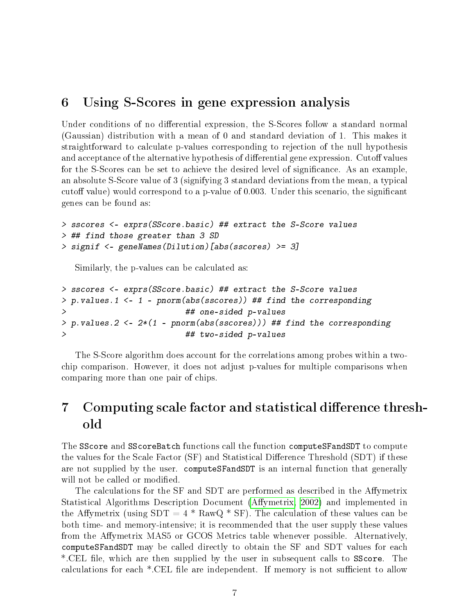#### <span id="page-6-0"></span>6 Using S-Scores in gene expression analysis

Under conditions of no differential expression, the S-Scores follow a standard normal (Gaussian) distribution with a mean of 0 and standard deviation of 1. This makes it straightforward to calculate p-values corresponding to rejection of the null hypothesis and acceptance of the alternative hypothesis of differential gene expression. Cutoff values for the S-Scores can be set to achieve the desired level of signicance. As an example, an absolute S-Score value of 3 (signifying 3 standard deviations from the mean, a typical cutoff value) would correspond to a p-value of 0.003. Under this scenario, the significant genes can be found as:

```
> sscores <- exprs(SScore.basic) ## extract the S-Score values
> ## find those greater than 3 SD
> signif <- geneNames(Dilution)[abs(sscores) >= 3]
```
Similarly, the p-values can be calculated as:

```
> sscores <- exprs(SScore.basic) ## extract the S-Score values
> p.values.1 <- 1 - pnorm(abs(sscores)) ## find the corresponding
                        > ## one-sided p-values
> p. values.2 <- 2*(1 - pnorm(abs(sscores))) ## find the corresponding
> ## two-sided p-values
```
The S-Score algorithm does account for the correlations among probes within a twochip comparison. However, it does not adjust p-values for multiple comparisons when comparing more than one pair of chips.

### <span id="page-6-1"></span>7 Computing scale factor and statistical difference threshold

The SScore and SScoreBatch functions call the function computeSFandSDT to compute the values for the Scale Factor (SF) and Statistical Difference Threshold (SDT) if these are not supplied by the user. computeSFandSDT is an internal function that generally will not be called or modified.

The calculations for the SF and SDT are performed as described in the Affymetrix Statistical Algorithms Description Document (Affymetrix, 2002) and implemented in the Affymetrix (using  $SDT = 4 * RawQ * SF$ ). The calculation of these values can be both time- and memory-intensive; it is recommended that the user supply these values from the Affymetrix MAS5 or GCOS Metrics table whenever possible. Alternatively, computeSFandSDT may be called directly to obtain the SF and SDT values for each \*.CEL file, which are then supplied by the user in subsequent calls to SScore. The calculations for each  $*$ .CEL file are independent. If memory is not sufficient to allow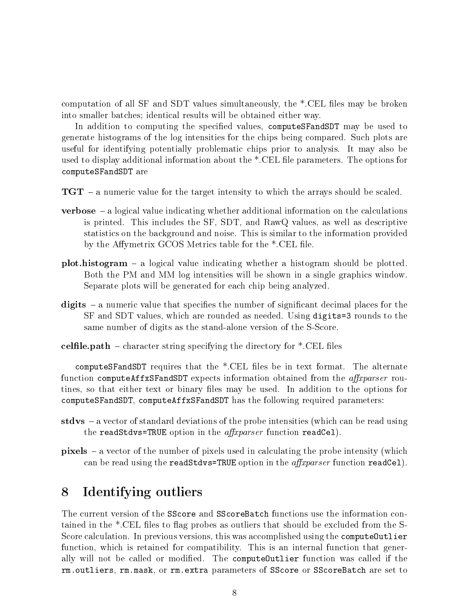computation of all SF and SDT values simultaneously, the  $*$ .CEL files may be broken into smaller batches; identical results will be obtained either way.

In addition to computing the specified values, computeSFandSDT may be used to generate histograms of the log intensities for the chips being compared. Such plots are useful for identifying potentially problematic chips prior to analysis. It may also be used to display additional information about the \*.CEL file parameters. The options for computeSFandSDT are

- $TGT a$  numeric value for the target intensity to which the arrays should be scaled.
- **verbose**  $-$  a logical value indicating whether additional information on the calculations is printed. This includes the SF, SDT, and RawQ values, as well as descriptive statistics on the background and noise. This is similar to the information provided by the Affymetrix GCOS Metrics table for the  $*$ .CEL file.
- **plot.histogram** a logical value indicating whether a histogram should be plotted. Both the PM and MM log intensities will be shown in a single graphics window. Separate plots will be generated for each chip being analyzed.
- digits  $-$  a numeric value that specifies the number of significant decimal places for the SF and SDT values, which are rounded as needed. Using digits=3 rounds to the same number of digits as the stand-alone version of the S-Score.
- celfile.path  $-$  character string specifying the directory for  $*.$ CEL files

computeSFandSDT requires that the  $*$ .CEL files be in text format. The alternate function computeAffxSFandSDT expects information obtained from the  $affxparser$  routines, so that either text or binary files may be used. In addition to the options for computeSFandSDT, computeAffxSFandSDT has the following required parameters:

- stdvs  $-a$  vector of standard deviations of the probe intensities (which can be read using the readStdvs=TRUE option in the *affxparser* function readCe1).
- $pixels a vector of the number of pixels used in calculating the probe intensity (which$ can be read using the readStdvs=TRUE option in the *affxparser* function readCel).

#### <span id="page-7-0"></span>8 Identifying outliers

The current version of the SScore and SScoreBatch functions use the information contained in the  $*$ .CEL files to flag probes as outliers that should be excluded from the S-Score calculation. In previous versions, this was accomplished using the computeOutlier function, which is retained for compatibility. This is an internal function that generally will not be called or modified. The computeOutlier function was called if the rm.outliers, rm.mask, or rm.extra parameters of SScore or SScoreBatch are set to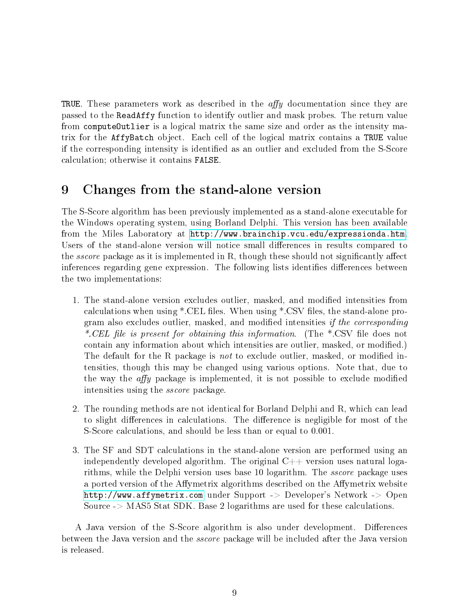TRUE. These parameters work as described in the  $affy$  documentation since they are passed to the ReadAffy function to identify outlier and mask probes. The return value from computeOutlier is a logical matrix the same size and order as the intensity matrix for the AffyBatch object. Each cell of the logical matrix contains a TRUE value if the corresponding intensity is identied as an outlier and excluded from the S-Score calculation; otherwise it contains FALSE.

### <span id="page-8-0"></span>9 Changes from the stand-alone version

The S-Score algorithm has been previously implemented as a stand-alone executable for the Windows operating system, using Borland Delphi. This version has been available from the Miles Laboratory at [http://www.brainchip.vcu.edu/expressionda.htm.](http://www.brainchip.vcu.edu/expressionda.htm) Users of the stand-alone version will notice small differences in results compared to the *sscore* package as it is implemented in R, though these should not significantly affect inferences regarding gene expression. The following lists identifies differences between the two implementations:

- 1. The stand-alone version excludes outlier, masked, and modied intensities from calculations when using  $*$ .CEL files. When using  $*$ .CSV files, the stand-alone program also excludes outlier, masked, and modified intensities *if the corresponding* \*.CEL file is present for obtaining this information. (The  $*$ .CSV file does not contain any information about which intensities are outlier, masked, or modified.) The default for the R package is *not* to exclude outlier, masked, or modified intensities, though this may be changed using various options. Note that, due to the way the  $affy$  package is implemented, it is not possible to exclude modified intensities using the sscore package.
- 2. The rounding methods are not identical for Borland Delphi and R, which can lead to slight differences in calculations. The difference is negligible for most of the S-Score calculations, and should be less than or equal to 0.001.
- 3. The SF and SDT calculations in the stand-alone version are performed using an independently developed algorithm. The original  $C++$  version uses natural logarithms, while the Delphi version uses base 10 logarithm. The *sscore* package uses a ported version of the Affymetrix algorithms described on the Affymetrix website <http://www.affymetrix.com> under Support -> Developer's Network -> Open Source -> MAS5 Stat SDK. Base 2 logarithms are used for these calculations.

A Java version of the S-Score algorithm is also under development. Differences between the Java version and the sscore package will be included after the Java version is released.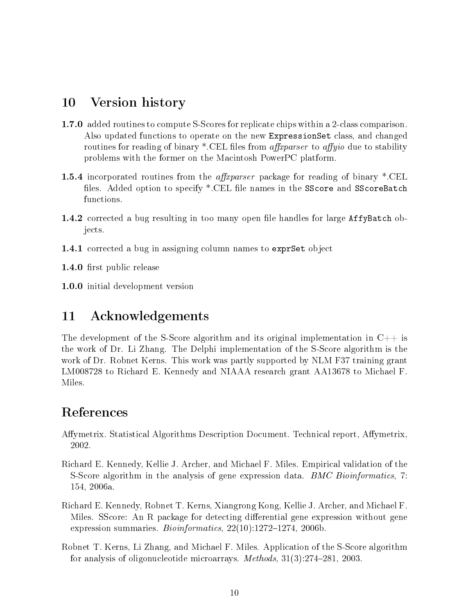#### <span id="page-9-0"></span>10 Version history

- 1.7.0 added routines to compute S-Scores for replicate chips within a 2-class comparison. Also updated functions to operate on the new ExpressionSet class, and changed routines for reading of binary \*.CEL files from *affragarser* to *affyio* due to stability problems with the former on the Macintosh PowerPC platform.
- **1.5.4** incorporated routines from the *affxparser* package for reading of binary \*.CEL files. Added option to specify \*.CEL file names in the SScore and SScoreBatch functions.
- 1.4.2 corrected a bug resulting in too many open file handles for large AffyBatch objects.
- 1.4.1 corrected a bug in assigning column names to exprSet object

1.4.0 first public release

1.0.0 initial development version

#### <span id="page-9-1"></span>11 Acknowledgements

The development of the S-Score algorithm and its original implementation in  $C++$  is the work of Dr. Li Zhang. The Delphi implementation of the S-Score algorithm is the work of Dr. Robnet Kerns. This work was partly supported by NLM F37 training grant LM008728 to Richard E. Kennedy and NIAAA research grant AA13678 to Michael F. Miles.

### References

- <span id="page-9-5"></span>Affymetrix. Statistical Algorithms Description Document. Technical report, Affymetrix, 2002.
- <span id="page-9-3"></span>Richard E. Kennedy, Kellie J. Archer, and Michael F. Miles. Empirical validation of the S-Score algorithm in the analysis of gene expression data. *BMC Bioinformatics*, 7: 154, 2006a.
- <span id="page-9-4"></span>Richard E. Kennedy, Robnet T. Kerns, Xiangrong Kong, Kellie J. Archer, and Michael F. Miles. SScore: An R package for detecting differential gene expression without gene expression summaries.  $Bioinformatics$ ,  $22(10):1272-1274$ ,  $2006b$ .
- <span id="page-9-2"></span>Robnet T. Kerns, Li Zhang, and Michael F. Miles. Application of the S-Score algorithm for analysis of oligonucleotide microarrays. Methods,  $31(3):274-281$ , 2003.